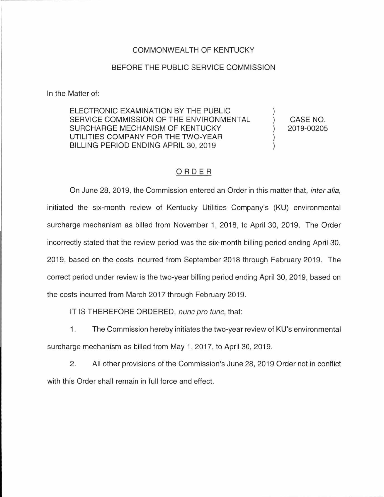## COMMONWEAL TH OF KENTUCKY

## BEFORE THE PUBLIC SERVICE COMMISSION

In the Matter of:

ELECTRONIC EXAMINATION BY THE PUBLIC SERVICE COMMISSION OF THE ENVIRONMENTAL SURCHARGE MECHANISM OF KENTUCKY UTILITIES COMPANY FOR THE TWO-YEAR BILLING PERIOD ENDING APRIL 30, 2019

CASE NO. 2019-00205

## ORDER

On June 28, 2019, the Commission entered an Order in this matter that, inter alia, initiated the six-month review of Kentucky Utilities Company's (KU) environmental surcharge mechanism as billed from November 1, 2018, to April 30, 2019. The Order incorrectly stated that the review period was the six-month billing period ending April 30, 2019, based on the costs incurred from September 2018 through February 2019. The correct period under review is the two-year billing period ending April 30, 2019, based on the costs incurred from March 2017 through February 2019.

IT IS THEREFORE ORDERED, nunc pro tunc, that:

1. The Commission hereby initiates the two-year review of KU's environmental surcharge mechanism as billed from May 1, 2017, to April 30, 2019.

2. All other provisions of the Commission's June 28, 2019 Order not in conflict with this Order shall remain in full force and effect.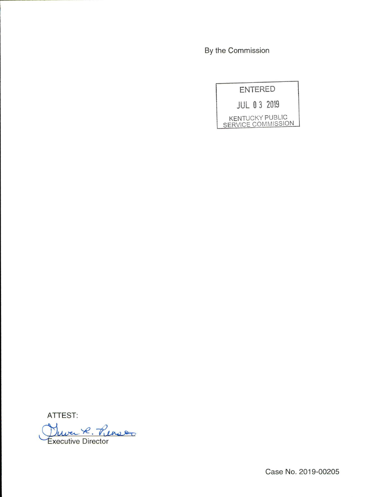By the Commission

| <b>ENTERED</b> |                                              |
|----------------|----------------------------------------------|
|                | <b>JUL 03 2019</b>                           |
|                | <b>KENTUCKY PUBLIC</b><br>SERVICE COMMISSION |

ATTEST:<br>Duver R. Penso xecutive Director

Case No. 2019-00205